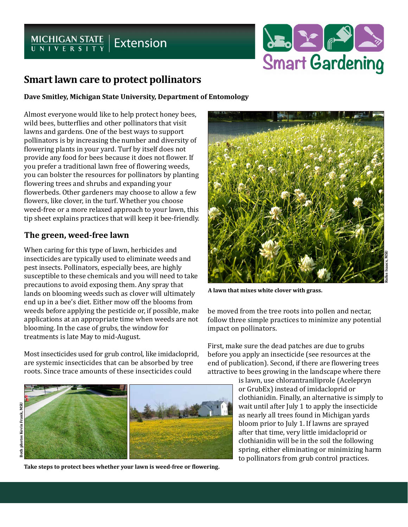# MICHIGAN STATE | Extension



# **Smart lawn care to protect pollinators**

#### **Dave Smitley, Michigan State University, Department of Entomology**

Almost everyone would like to help protect honey bees, wild bees, butterflies and other pollinators that visit lawns and gardens. One of the best ways to support pollinators is by increasing the number and diversity of flowering plants in your yard. Turf by itself does not provide any food for bees because it does not flower. If you prefer a traditional lawn free of flowering weeds, you can bolster the resources for pollinators by planting flowering trees and shrubs and expanding your flowerbeds. Other gardeners may choose to allow a few flowers, like clover, in the turf. Whether you choose weed-free or a more relaxed approach to your lawn, this tip sheet explains practices that will keep it bee-friendly.

## **The green, weed-free lawn**

When caring for this type of lawn, herbicides and insecticides are typically used to eliminate weeds and pest insects. Pollinators, especially bees, are highly susceptible to these chemicals and you will need to take precautions to avoid exposing them. Any spray that lands on blooming weeds such as clover will ultimately end up in a bee's diet. Either mow off the blooms from weeds before applying the pesticide or, if possible, make applications at an appropriate time when weeds are not blooming. In the case of grubs, the window for treatments is late May to mid-August.

Most insecticides used for grub control, like imidacloprid, are systemic insecticides that can be absorbed by tree roots. Since trace amounts of these insecticides could



**Take steps to protect bees whether your lawn is weed-free or flowering.**



**A lawn that mixes white clover with grass.**

be moved from the tree roots into pollen and nectar, follow three simple practices to minimize any potential impact on pollinators.

First, make sure the dead patches are due to grubs before you apply an insecticide (see resources at the end of publication). Second, if there are flowering trees attractive to bees growing in the landscape where there

is lawn, use chlorantraniliprole (Acelepryn or GrubEx) instead of imidacloprid or clothianidin. Finally, an alternative is simply to wait until after July 1 to apply the insecticide as nearly all trees found in Michigan yards bloom prior to July 1. If lawns are sprayed after that time, very little imidacloprid or clothianidin will be in the soil the following spring, either eliminating or minimizing harm to pollinators from grub control practices.